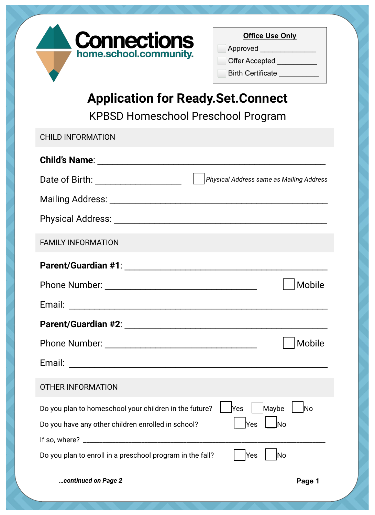

| <b>Office Use Only</b>   |
|--------------------------|
| Approved                 |
| <b>Offer Accepted</b>    |
| <b>Birth Certificate</b> |

## **Application for Ready.Set.Connect**

KPBSD Homeschool Preschool Program

| <b>CHILD INFORMATION</b>                                                            |
|-------------------------------------------------------------------------------------|
|                                                                                     |
| Physical Address same as Mailing Address<br>Date of Birth: _______________________  |
|                                                                                     |
|                                                                                     |
| <b>FAMILY INFORMATION</b>                                                           |
|                                                                                     |
| Mobile                                                                              |
|                                                                                     |
|                                                                                     |
| Mobile                                                                              |
|                                                                                     |
| <b>OTHER INFORMATION</b>                                                            |
| Yes<br>Maybe<br>Do you plan to homeschool your children in the future?<br><b>No</b> |
| $\bigsqcup$ No<br> Yes<br>Do you have any other children enrolled in school?        |
|                                                                                     |
| Yes<br>lNo<br>Do you plan to enroll in a preschool program in the fall?             |
| continued on Page 2<br>Page 1                                                       |